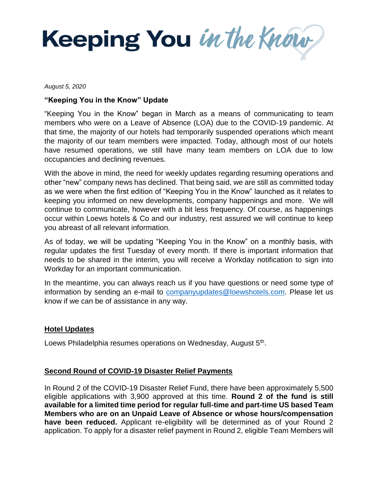Keeping You in the Know

*August 5, 2020*

## **"Keeping You in the Know" Update**

"Keeping You in the Know" began in March as a means of communicating to team members who were on a Leave of Absence (LOA) due to the COVID-19 pandemic. At that time, the majority of our hotels had temporarily suspended operations which meant the majority of our team members were impacted. Today, although most of our hotels have resumed operations, we still have many team members on LOA due to low occupancies and declining revenues.

With the above in mind, the need for weekly updates regarding resuming operations and other "new" company news has declined. That being said, we are still as committed today as we were when the first edition of "Keeping You in the Know" launched as it relates to keeping you informed on new developments, company happenings and more. We will continue to communicate, however with a bit less frequency. Of course, as happenings occur within Loews hotels & Co and our industry, rest assured we will continue to keep you abreast of all relevant information.

As of today, we will be updating "Keeping You in the Know" on a monthly basis, with regular updates the first Tuesday of every month. If there is important information that needs to be shared in the interim, you will receive a Workday notification to sign into Workday for an important communication.

In the meantime, you can always reach us if you have questions or need some type of information by sending an e-mail to [companyupdates@loewshotels.com.](mailto:companyupdates@loewshotels.com) Please let us know if we can be of assistance in any way.

## **Hotel Updates**

Loews Philadelphia resumes operations on Wednesday, August 5<sup>th</sup>.

## **Second Round of COVID-19 Disaster Relief Payments**

In Round 2 of the COVID-19 Disaster Relief Fund, there have been approximately 5,500 eligible applications with 3,900 approved at this time. **Round 2 of the fund is still available for a limited time period for regular full-time and part-time US based Team Members who are on an Unpaid Leave of Absence or whose hours/compensation have been reduced.** Applicant re-eligibility will be determined as of your Round 2 application. To apply for a disaster relief payment in Round 2, eligible Team Members will